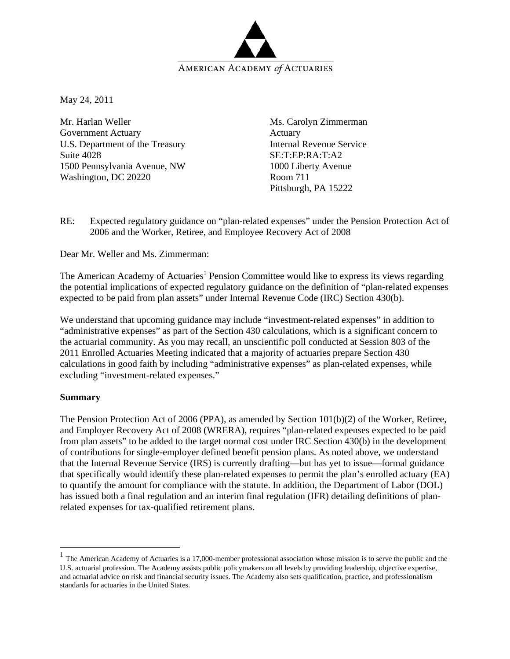

May 24, 2011

Mr. Harlan Weller Government Actuary U.S. Department of the Treasury Suite 4028 1500 Pennsylvania Avenue, NW Washington, DC 20220

Ms. Carolyn Zimmerman Actuary Internal Revenue Service SE:T:EP:RA:T:A2 1000 Liberty Avenue Room 711 Pittsburgh, PA 15222

RE: Expected regulatory guidance on "plan-related expenses" under the Pension Protection Act of 2006 and the Worker, Retiree, and Employee Recovery Act of 2008

Dear Mr. Weller and Ms. Zimmerman:

The American Academy of Actuaries<sup>1</sup> Pension Committee would like to express its views regarding the potential implications of expected regulatory guidance on the definition of "plan-related expenses expected to be paid from plan assets" under Internal Revenue Code (IRC) Section 430(b).

We understand that upcoming guidance may include "investment-related expenses" in addition to "administrative expenses" as part of the Section 430 calculations, which is a significant concern to the actuarial community. As you may recall, an unscientific poll conducted at Session 803 of the 2011 Enrolled Actuaries Meeting indicated that a majority of actuaries prepare Section 430 calculations in good faith by including "administrative expenses" as plan-related expenses, while excluding "investment-related expenses."

#### **Summary**

 $\overline{a}$ 

The Pension Protection Act of 2006 (PPA), as amended by Section 101(b)(2) of the Worker, Retiree, and Employer Recovery Act of 2008 (WRERA), requires "plan-related expenses expected to be paid from plan assets" to be added to the target normal cost under IRC Section 430(b) in the development of contributions for single-employer defined benefit pension plans. As noted above, we understand that the Internal Revenue Service (IRS) is currently drafting—but has yet to issue—formal guidance that specifically would identify these plan-related expenses to permit the plan's enrolled actuary (EA) to quantify the amount for compliance with the statute. In addition, the Department of Labor (DOL) has issued both a final regulation and an interim final regulation (IFR) detailing definitions of planrelated expenses for tax-qualified retirement plans.

<sup>1</sup> The American Academy of Actuaries is a 17,000-member professional association whose mission is to serve the public and the U.S. actuarial profession. The Academy assists public policymakers on all levels by providing leadership, objective expertise, and actuarial advice on risk and financial security issues. The Academy also sets qualification, practice, and professionalism standards for actuaries in the United States.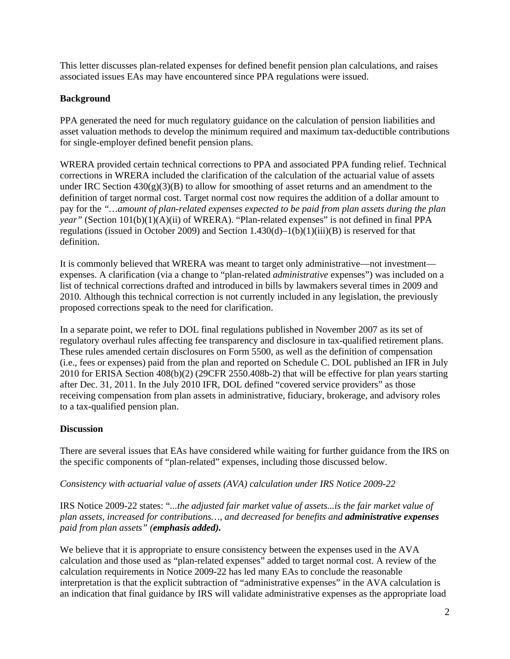This letter discusses plan-related expenses for defined benefit pension plan calculations, and raises associated issues EAs may have encountered since PPA regulations were issued.

# **Background**

PPA generated the need for much regulatory guidance on the calculation of pension liabilities and asset valuation methods to develop the minimum required and maximum tax-deductible contributions for single-employer defined benefit pension plans.

WRERA provided certain technical corrections to PPA and associated PPA funding relief. Technical corrections in WRERA included the clarification of the calculation of the actuarial value of assets under IRC Section  $430(g)(3)(B)$  to allow for smoothing of asset returns and an amendment to the definition of target normal cost. Target normal cost now requires the addition of a dollar amount to pay for the *"…amount of plan-related expenses expected to be paid from plan assets during the plan year"* (Section 101(b)(1)(A)(ii) of WRERA). "Plan-related expenses" is not defined in final PPA regulations (issued in October 2009) and Section 1.430(d)–1(b)(1)(iii)(B) is reserved for that definition.

It is commonly believed that WRERA was meant to target only administrative—not investment expenses. A clarification (via a change to "plan-related *administrative* expenses") was included on a list of technical corrections drafted and introduced in bills by lawmakers several times in 2009 and 2010. Although this technical correction is not currently included in any legislation, the previously proposed corrections speak to the need for clarification.

In a separate point, we refer to DOL final regulations published in November 2007 as its set of regulatory overhaul rules affecting fee transparency and disclosure in tax-qualified retirement plans. These rules amended certain disclosures on Form 5500, as well as the definition of compensation (i.e., fees or expenses) paid from the plan and reported on Schedule C. DOL published an IFR in July 2010 for ERISA Section 408(b)(2) (29CFR 2550.408b-2) that will be effective for plan years starting after Dec. 31, 2011. In the July 2010 IFR, DOL defined "covered service providers" as those receiving compensation from plan assets in administrative, fiduciary, brokerage, and advisory roles to a tax-qualified pension plan.

## **Discussion**

There are several issues that EAs have considered while waiting for further guidance from the IRS on the specific components of "plan-related" expenses, including those discussed below.

## *Consistency with actuarial value of assets (AVA) calculation under IRS Notice 2009-22*

IRS Notice 2009-22 states: "*...the adjusted fair market value of assets...is the fair market value of plan assets, increased for contributions…, and decreased for benefits and administrative expenses paid from plan assets" (emphasis added).* 

We believe that it is appropriate to ensure consistency between the expenses used in the AVA calculation and those used as "plan-related expenses" added to target normal cost. A review of the calculation requirements in Notice 2009-22 has led many EAs to conclude the reasonable interpretation is that the explicit subtraction of "administrative expenses" in the AVA calculation is an indication that final guidance by IRS will validate administrative expenses as the appropriate load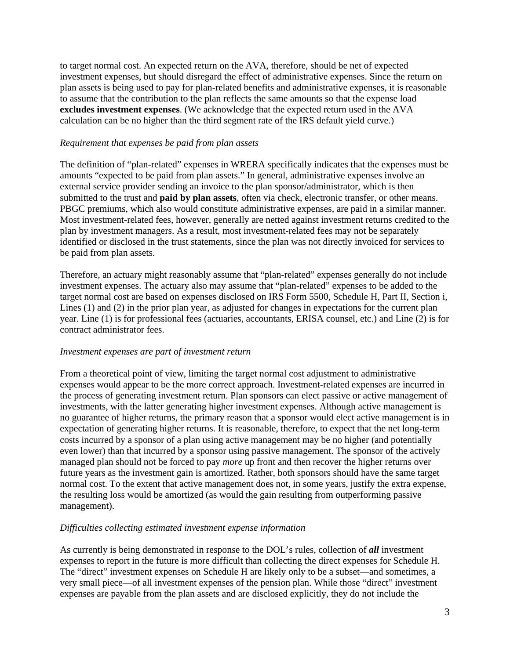to target normal cost. An expected return on the AVA, therefore, should be net of expected investment expenses, but should disregard the effect of administrative expenses. Since the return on plan assets is being used to pay for plan-related benefits and administrative expenses, it is reasonable to assume that the contribution to the plan reflects the same amounts so that the expense load **excludes investment expenses**. (We acknowledge that the expected return used in the AVA calculation can be no higher than the third segment rate of the IRS default yield curve.)

#### *Requirement that expenses be paid from plan assets*

The definition of "plan-related" expenses in WRERA specifically indicates that the expenses must be amounts "expected to be paid from plan assets." In general, administrative expenses involve an external service provider sending an invoice to the plan sponsor/administrator, which is then submitted to the trust and **paid by plan assets**, often via check, electronic transfer, or other means. PBGC premiums, which also would constitute administrative expenses, are paid in a similar manner. Most investment-related fees, however, generally are netted against investment returns credited to the plan by investment managers. As a result, most investment-related fees may not be separately identified or disclosed in the trust statements, since the plan was not directly invoiced for services to be paid from plan assets.

Therefore, an actuary might reasonably assume that "plan-related" expenses generally do not include investment expenses. The actuary also may assume that "plan-related" expenses to be added to the target normal cost are based on expenses disclosed on IRS Form 5500, Schedule H, Part II, Section i, Lines (1) and (2) in the prior plan year, as adjusted for changes in expectations for the current plan year. Line (1) is for professional fees (actuaries, accountants, ERISA counsel, etc.) and Line (2) is for contract administrator fees.

#### *Investment expenses are part of investment return*

From a theoretical point of view, limiting the target normal cost adjustment to administrative expenses would appear to be the more correct approach. Investment-related expenses are incurred in the process of generating investment return. Plan sponsors can elect passive or active management of investments, with the latter generating higher investment expenses. Although active management is no guarantee of higher returns, the primary reason that a sponsor would elect active management is in expectation of generating higher returns. It is reasonable, therefore, to expect that the net long-term costs incurred by a sponsor of a plan using active management may be no higher (and potentially even lower) than that incurred by a sponsor using passive management. The sponsor of the actively managed plan should not be forced to pay *more* up front and then recover the higher returns over future years as the investment gain is amortized. Rather, both sponsors should have the same target normal cost. To the extent that active management does not, in some years, justify the extra expense, the resulting loss would be amortized (as would the gain resulting from outperforming passive management).

### *Difficulties collecting estimated investment expense information*

As currently is being demonstrated in response to the DOL's rules, collection of *all* investment expenses to report in the future is more difficult than collecting the direct expenses for Schedule H. The "direct" investment expenses on Schedule H are likely only to be a subset—and sometimes, a very small piece—of all investment expenses of the pension plan. While those "direct" investment expenses are payable from the plan assets and are disclosed explicitly, they do not include the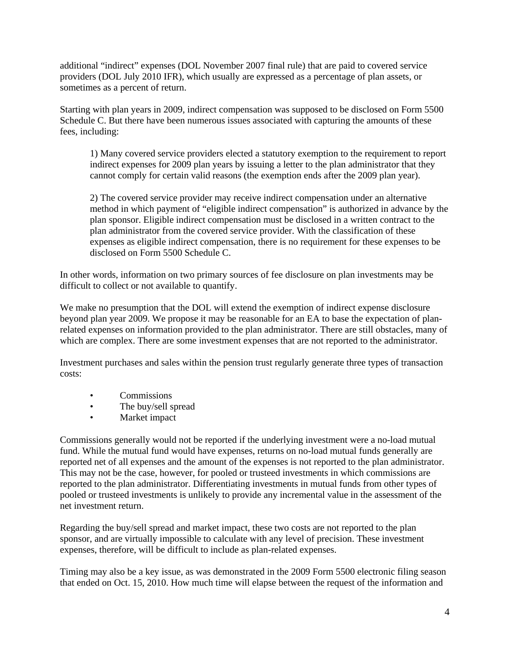additional "indirect" expenses (DOL November 2007 final rule) that are paid to covered service providers (DOL July 2010 IFR), which usually are expressed as a percentage of plan assets, or sometimes as a percent of return.

Starting with plan years in 2009, indirect compensation was supposed to be disclosed on Form 5500 Schedule C. But there have been numerous issues associated with capturing the amounts of these fees, including:

1) Many covered service providers elected a statutory exemption to the requirement to report indirect expenses for 2009 plan years by issuing a letter to the plan administrator that they cannot comply for certain valid reasons (the exemption ends after the 2009 plan year).

2) The covered service provider may receive indirect compensation under an alternative method in which payment of "eligible indirect compensation" is authorized in advance by the plan sponsor. Eligible indirect compensation must be disclosed in a written contract to the plan administrator from the covered service provider. With the classification of these expenses as eligible indirect compensation, there is no requirement for these expenses to be disclosed on Form 5500 Schedule C.

In other words, information on two primary sources of fee disclosure on plan investments may be difficult to collect or not available to quantify.

We make no presumption that the DOL will extend the exemption of indirect expense disclosure beyond plan year 2009. We propose it may be reasonable for an EA to base the expectation of planrelated expenses on information provided to the plan administrator. There are still obstacles, many of which are complex. There are some investment expenses that are not reported to the administrator.

Investment purchases and sales within the pension trust regularly generate three types of transaction costs:

- Commissions
- The buy/sell spread
- Market impact

Commissions generally would not be reported if the underlying investment were a no-load mutual fund. While the mutual fund would have expenses, returns on no-load mutual funds generally are reported net of all expenses and the amount of the expenses is not reported to the plan administrator. This may not be the case, however, for pooled or trusteed investments in which commissions are reported to the plan administrator. Differentiating investments in mutual funds from other types of pooled or trusteed investments is unlikely to provide any incremental value in the assessment of the net investment return.

Regarding the buy/sell spread and market impact, these two costs are not reported to the plan sponsor, and are virtually impossible to calculate with any level of precision. These investment expenses, therefore, will be difficult to include as plan-related expenses.

Timing may also be a key issue, as was demonstrated in the 2009 Form 5500 electronic filing season that ended on Oct. 15, 2010. How much time will elapse between the request of the information and